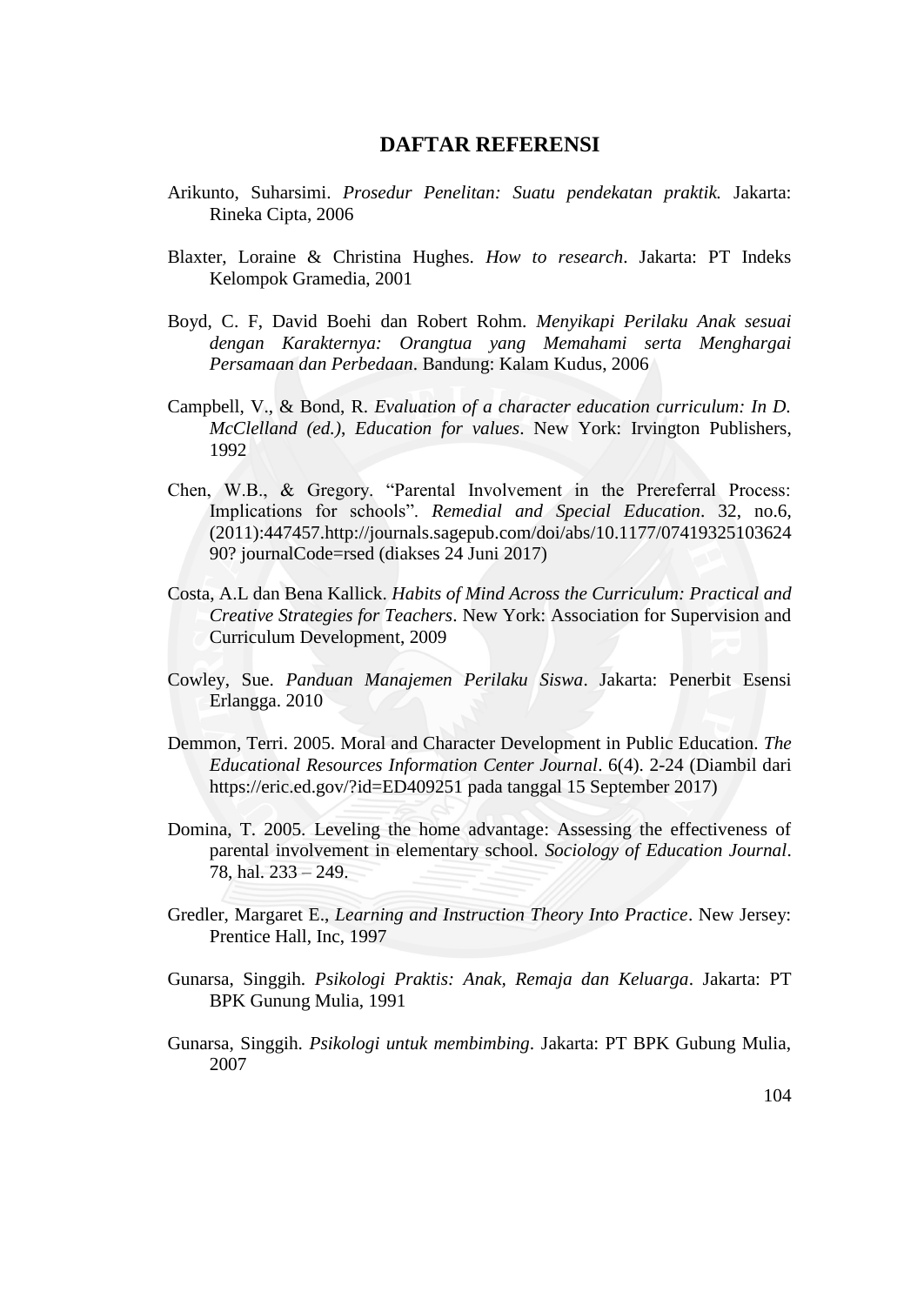## **DAFTAR REFERENSI**

- Arikunto, Suharsimi. *Prosedur Penelitan: Suatu pendekatan praktik.* Jakarta: Rineka Cipta, 2006
- Blaxter, Loraine & Christina Hughes. *How to research*. Jakarta: PT Indeks Kelompok Gramedia, 2001
- Boyd, C. F, David Boehi dan Robert Rohm. *Menyikapi Perilaku Anak sesuai dengan Karakternya: Orangtua yang Memahami serta Menghargai Persamaan dan Perbedaan*. Bandung: Kalam Kudus, 2006
- Campbell, V., & Bond, R. *Evaluation of a character education curriculum: In D. McClelland (ed.)*, *Education for values*. New York: Irvington Publishers, 1992
- Chen, W.B., & Gregory. "Parental Involvement in the Prereferral Process: Implications for schools". *Remedial and Special Education*. 32, no.6, (2011):447457[.http://journals.sagepub.com/doi/abs/](http://journals.sagepub.com/doi/abs)10.1177/07419325103624 90? journalCode=rsed (diakses 24 Juni 2017)
- Costa, A.L dan Bena Kallick. *Habits of Mind Across the Curriculum: Practical and Creative Strategies for Teachers*. New York: Association for Supervision and Curriculum Development, 2009
- Cowley, Sue. *Panduan Manajemen Perilaku Siswa*. Jakarta: Penerbit Esensi Erlangga. 2010
- Demmon, Terri. 2005. Moral and Character Development in Public Education. *The Educational Resources Information Center Journal*. 6(4). 2-24 (Diambil dari <https://eric.ed.gov/?id=ED409251> pada tanggal 15 September 2017)
- Domina, T. 2005. Leveling the home advantage: Assessing the effectiveness of parental involvement in elementary school. *Sociology of Education Journal*. 78, hal. 233 – 249.
- Gredler, Margaret E., *Learning and Instruction Theory Into Practice*. New Jersey: Prentice Hall, Inc, 1997
- Gunarsa, Singgih. *Psikologi Praktis: Anak, Remaja dan Keluarga*. Jakarta: PT BPK Gunung Mulia, 1991
- Gunarsa, Singgih. *Psikologi untuk membimbing*. Jakarta: PT BPK Gubung Mulia, 2007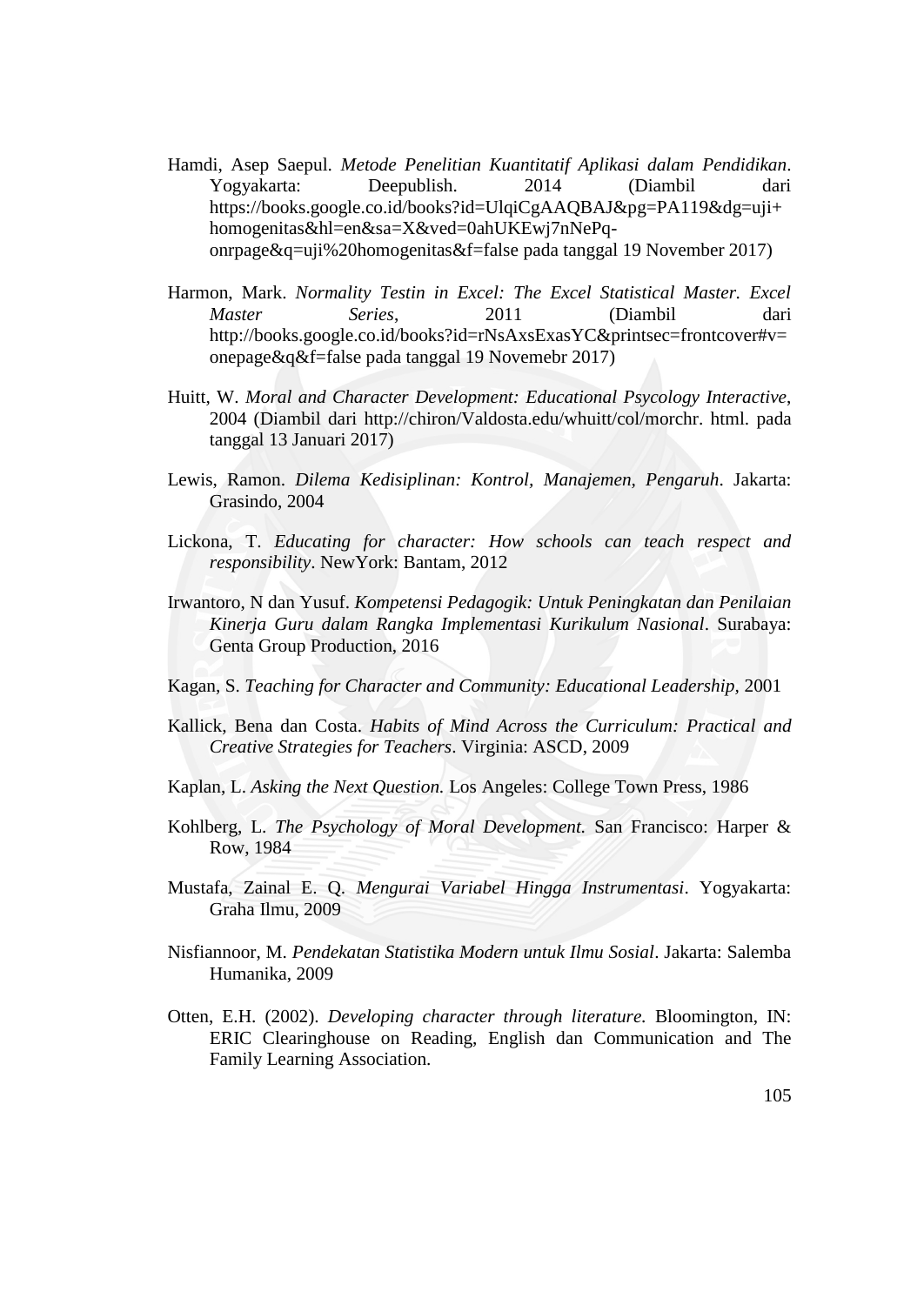- Hamdi, Asep Saepul. *Metode Penelitian Kuantitatif Aplikasi dalam Pendidikan*. Yogyakarta: Deepublish. 2014 (Diambil dari [https://books.google.co.id/books?id=UlqiCgAAQBAJ&pg=PA119&dg=uji+](https://books.google.co.id/books?id=UlqiCgAAQBAJ&pg=PA119&dg=uji+homogenitas&hl=en&sa=X&ved=0ahUKEwj7nNePq-onrpage&q=uji%20homogenitas&f=false) [homogenitas&hl=en&sa=X&ved=0ahUKEwj7nNePq](https://books.google.co.id/books?id=UlqiCgAAQBAJ&pg=PA119&dg=uji+homogenitas&hl=en&sa=X&ved=0ahUKEwj7nNePq-onrpage&q=uji%20homogenitas&f=false)[onrpage&q=uji%20homogenitas&f=false](https://books.google.co.id/books?id=UlqiCgAAQBAJ&pg=PA119&dg=uji+homogenitas&hl=en&sa=X&ved=0ahUKEwj7nNePq-onrpage&q=uji%20homogenitas&f=false) pada tanggal 19 November 2017)
- Harmon, Mark. *Normality Testin in Excel: The Excel Statistical Master. Excel Master Series*, 2011 (Diambil dari [http://books.google.co.id/books?id=rNsAxsExasYC&printsec=frontcover#v=](http://books.google.co.id/books?id=rNsAxsExasYC&printsec=frontcover#v=onepage&q&f=false) [onepage&q&f=false](http://books.google.co.id/books?id=rNsAxsExasYC&printsec=frontcover#v=onepage&q&f=false) pada tanggal 19 Novemebr 2017)
- Huitt, W. *Moral and Character Development: Educational Psycology Interactive*, 2004 (Diambil dari [http://chiron/Valdosta.edu/whuitt/col/morchr.](http://chiron/Valdosta.edu/whuitt/col/morchr) html. pada tanggal 13 Januari 2017)
- Lewis, Ramon. *Dilema Kedisiplinan: Kontrol, Manajemen, Pengaruh*. Jakarta: Grasindo, 2004
- Lickona, T. *Educating for character: How schools can teach respect and responsibility*. NewYork: Bantam, 2012
- Irwantoro, N dan Yusuf. *Kompetensi Pedagogik: Untuk Peningkatan dan Penilaian Kinerja Guru dalam Rangka Implementasi Kurikulum Nasional*. Surabaya: Genta Group Production, 2016
- Kagan, S. *Teaching for Character and Community: Educational Leadership,* 2001
- Kallick, Bena dan Costa. *Habits of Mind Across the Curriculum: Practical and Creative Strategies for Teachers*. Virginia: ASCD, 2009
- Kaplan, L. *Asking the Next Question.* Los Angeles: College Town Press, 1986
- Kohlberg, L. *The Psychology of Moral Development.* San Francisco: Harper & Row, 1984
- Mustafa, Zainal E. Q. *Mengurai Variabel Hingga Instrumentasi*. Yogyakarta: Graha Ilmu, 2009
- Nisfiannoor, M. *Pendekatan Statistika Modern untuk Ilmu Sosial*. Jakarta: Salemba Humanika, 2009
- Otten, E.H. (2002). *Developing character through literature.* Bloomington, IN: ERIC Clearinghouse on Reading, English dan Communication and The Family Learning Association.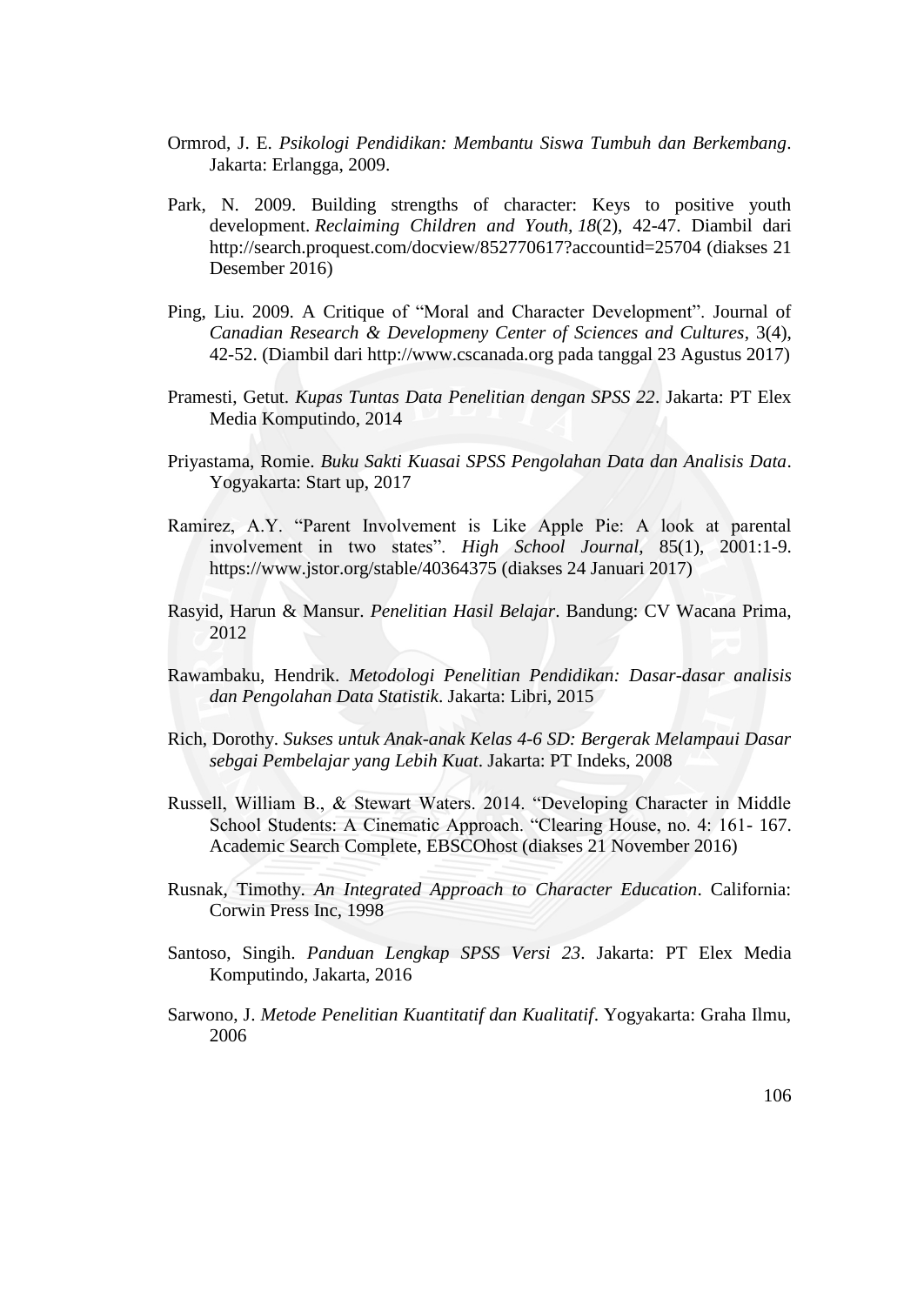- Ormrod, J. E. *Psikologi Pendidikan: Membantu Siswa Tumbuh dan Berkembang*. Jakarta: Erlangga, 2009.
- Park, N. 2009. Building strengths of character: Keys to positive youth development. *Reclaiming Children and Youth, 18*(2), 42-47. Diambil dari <http://search.proquest.com/docview/852770617?accountid=25704> (diakses 21 Desember 2016)
- Ping, Liu. 2009. A Critique of "Moral and Character Development". Journal of *Canadian Research & Developmeny Center of Sciences and Cultures*, 3(4), 42-52. (Diambil dari [http://www.cscanada.org](http://www.cscanada.org/) pada tanggal 23 Agustus 2017)
- Pramesti, Getut. *Kupas Tuntas Data Penelitian dengan SPSS 22*. Jakarta: PT Elex Media Komputindo, 2014
- Priyastama, Romie. *Buku Sakti Kuasai SPSS Pengolahan Data dan Analisis Data*. Yogyakarta: Start up, 2017
- Ramirez, A.Y. "Parent Involvement is Like Apple Pie: A look at parental involvement in two states". *High School Journal,* 85(1), 2001:1-9. <https://www.jstor.org/stable/40364375> (diakses 24 Januari 2017)
- Rasyid, Harun & Mansur. *Penelitian Hasil Belajar*. Bandung: CV Wacana Prima, 2012
- Rawambaku, Hendrik. *Metodologi Penelitian Pendidikan: Dasar-dasar analisis dan Pengolahan Data Statistik*. Jakarta: Libri, 2015
- Rich, Dorothy. *Sukses untuk Anak-anak Kelas 4-6 SD: Bergerak Melampaui Dasar sebgai Pembelajar yang Lebih Kuat*. Jakarta: PT Indeks, 2008
- Russell, William B., & Stewart Waters. 2014. "Developing Character in Middle School Students: A Cinematic Approach. "Clearing House, no. 4: 161- 167. Academic Search Complete, EBSCOhost (diakses 21 November 2016)
- Rusnak, Timothy. *An Integrated Approach to Character Education*. California: Corwin Press Inc, 1998
- Santoso, Singih. *Panduan Lengkap SPSS Versi 23*. Jakarta: PT Elex Media Komputindo, Jakarta, 2016
- Sarwono, J. *Metode Penelitian Kuantitatif dan Kualitatif*. Yogyakarta: Graha Ilmu, 2006